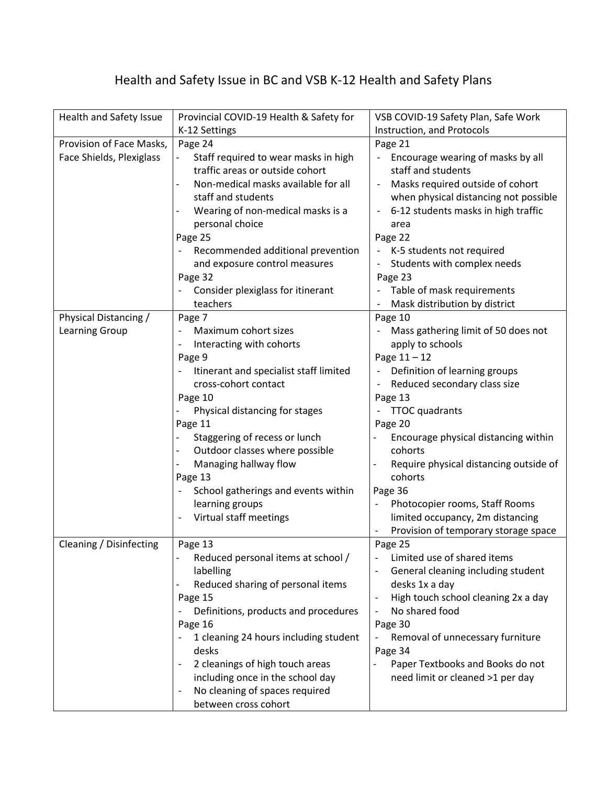## Health and Safety Issue in BC and VSB K-12 Health and Safety Plans

| Health and Safety Issue  | Provincial COVID-19 Health & Safety for                                                                                                                                                                                                                                                                                                                                         | VSB COVID-19 Safety Plan, Safe Work                                                                                                                                                                                                                                                                                                                                                                                                                                      |
|--------------------------|---------------------------------------------------------------------------------------------------------------------------------------------------------------------------------------------------------------------------------------------------------------------------------------------------------------------------------------------------------------------------------|--------------------------------------------------------------------------------------------------------------------------------------------------------------------------------------------------------------------------------------------------------------------------------------------------------------------------------------------------------------------------------------------------------------------------------------------------------------------------|
|                          | K-12 Settings                                                                                                                                                                                                                                                                                                                                                                   | Instruction, and Protocols                                                                                                                                                                                                                                                                                                                                                                                                                                               |
| Provision of Face Masks, | Page 24                                                                                                                                                                                                                                                                                                                                                                         | Page 21                                                                                                                                                                                                                                                                                                                                                                                                                                                                  |
| Face Shields, Plexiglass | Staff required to wear masks in high<br>÷,<br>traffic areas or outside cohort<br>Non-medical masks available for all<br>staff and students<br>Wearing of non-medical masks is a<br>personal choice<br>Page 25<br>Recommended additional prevention<br>and exposure control measures<br>Page 32<br>Consider plexiglass for itinerant<br>teachers                                 | Encourage wearing of masks by all<br>staff and students<br>Masks required outside of cohort<br>when physical distancing not possible<br>6-12 students masks in high traffic<br>$\overline{\phantom{a}}$<br>area<br>Page 22<br>K-5 students not required<br>Students with complex needs<br>Page 23<br>Table of mask requirements<br>Mask distribution by district                                                                                                         |
| Physical Distancing /    | Page 7                                                                                                                                                                                                                                                                                                                                                                          | Page 10                                                                                                                                                                                                                                                                                                                                                                                                                                                                  |
| Learning Group           | Maximum cohort sizes<br>Interacting with cohorts<br>Page 9<br>Itinerant and specialist staff limited<br>cross-cohort contact<br>Page 10<br>Physical distancing for stages<br>Page 11<br>Staggering of recess or lunch<br>Outdoor classes where possible<br>Managing hallway flow<br>Page 13<br>School gatherings and events within<br>learning groups<br>Virtual staff meetings | Mass gathering limit of 50 does not<br>apply to schools<br>Page $11 - 12$<br>Definition of learning groups<br>$\blacksquare$<br>Reduced secondary class size<br>$\overline{\phantom{0}}$<br>Page 13<br><b>TTOC</b> quadrants<br>Page 20<br>Encourage physical distancing within<br>cohorts<br>Require physical distancing outside of<br>cohorts<br>Page 36<br>Photocopier rooms, Staff Rooms<br>limited occupancy, 2m distancing<br>Provision of temporary storage space |
| Cleaning / Disinfecting  | Page 13<br>Reduced personal items at school /<br>labelling<br>Reduced sharing of personal items<br>Page 15<br>Definitions, products and procedures<br>Page 16<br>1 cleaning 24 hours including student<br>desks<br>2 cleanings of high touch areas<br>including once in the school day<br>No cleaning of spaces required<br>$\overline{a}$<br>between cross cohort              | Page 25<br>Limited use of shared items<br>General cleaning including student<br>desks 1x a day<br>High touch school cleaning 2x a day<br>No shared food<br>Page 30<br>Removal of unnecessary furniture<br>Page 34<br>Paper Textbooks and Books do not<br>need limit or cleaned >1 per day                                                                                                                                                                                |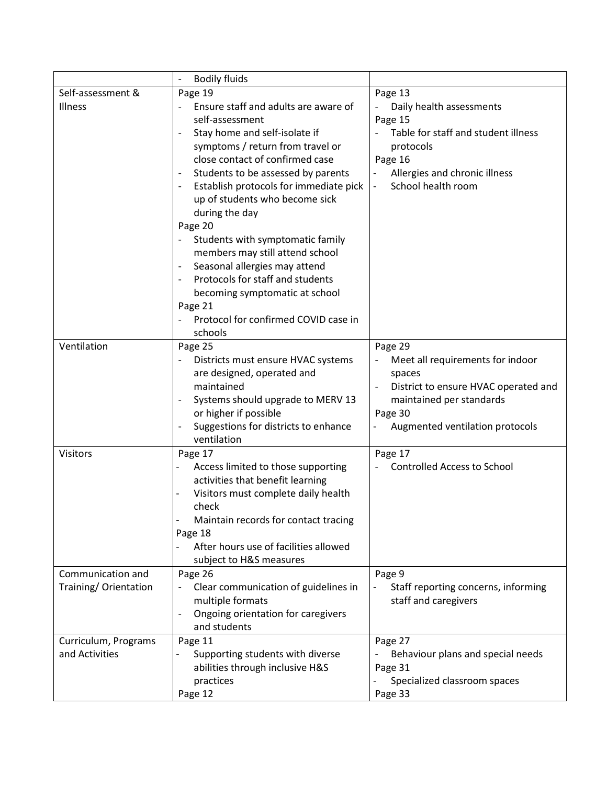|                       | <b>Bodily fluids</b><br>$\qquad \qquad -$                              |                                               |
|-----------------------|------------------------------------------------------------------------|-----------------------------------------------|
| Self-assessment &     | Page 19                                                                | Page 13                                       |
| <b>Illness</b>        | Ensure staff and adults are aware of                                   | Daily health assessments                      |
|                       | self-assessment                                                        | Page 15                                       |
|                       | Stay home and self-isolate if<br>$\overline{\phantom{a}}$              | Table for staff and student illness           |
|                       | symptoms / return from travel or                                       | protocols                                     |
|                       | close contact of confirmed case                                        | Page 16                                       |
|                       | Students to be assessed by parents<br>$\overline{\phantom{a}}$         | Allergies and chronic illness                 |
|                       | Establish protocols for immediate pick<br>$\overline{\phantom{a}}$     | School health room                            |
|                       | up of students who become sick                                         |                                               |
|                       | during the day                                                         |                                               |
|                       | Page 20                                                                |                                               |
|                       | Students with symptomatic family                                       |                                               |
|                       | members may still attend school                                        |                                               |
|                       | Seasonal allergies may attend<br>Protocols for staff and students      |                                               |
|                       | becoming symptomatic at school                                         |                                               |
|                       | Page 21                                                                |                                               |
|                       | Protocol for confirmed COVID case in                                   |                                               |
|                       | schools                                                                |                                               |
| Ventilation           | Page 25                                                                | Page 29                                       |
|                       | Districts must ensure HVAC systems                                     | Meet all requirements for indoor              |
|                       | are designed, operated and                                             | spaces                                        |
|                       | maintained                                                             | District to ensure HVAC operated and          |
|                       | Systems should upgrade to MERV 13<br>$\overline{\phantom{a}}$          | maintained per standards                      |
|                       | or higher if possible                                                  | Page 30                                       |
|                       | Suggestions for districts to enhance                                   | Augmented ventilation protocols               |
|                       | ventilation                                                            |                                               |
| <b>Visitors</b>       | Page 17                                                                | Page 17<br><b>Controlled Access to School</b> |
|                       | Access limited to those supporting<br>activities that benefit learning |                                               |
|                       | Visitors must complete daily health                                    |                                               |
|                       | check                                                                  |                                               |
|                       | Maintain records for contact tracing                                   |                                               |
|                       | Page 18                                                                |                                               |
|                       | After hours use of facilities allowed                                  |                                               |
|                       | subject to H&S measures                                                |                                               |
| Communication and     | Page 26                                                                | Page 9                                        |
| Training/ Orientation | Clear communication of guidelines in                                   | Staff reporting concerns, informing           |
|                       | multiple formats                                                       | staff and caregivers                          |
|                       | Ongoing orientation for caregivers<br>$\overline{\phantom{a}}$         |                                               |
|                       | and students                                                           |                                               |
| Curriculum, Programs  | Page 11                                                                | Page 27                                       |
| and Activities        | Supporting students with diverse                                       | Behaviour plans and special needs             |
|                       | abilities through inclusive H&S                                        | Page 31                                       |
|                       | practices                                                              | Specialized classroom spaces                  |
|                       | Page 12                                                                | Page 33                                       |